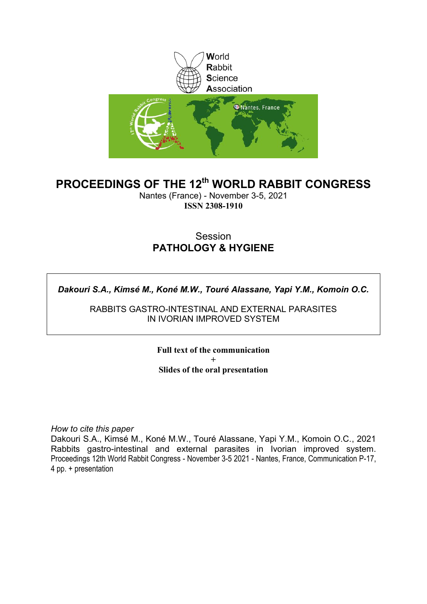

### **PROCEEDINGS OF THE 12th WORLD RABBIT CONGRESS**

Nantes (France) - November 3-5, 2021 **ISSN 2308-1910**

### Session **PATHOLOGY & HYGIENE**

*Dakouri S.A., Kimsé M., Koné M.W., Touré Alassane, Yapi Y.M., Komoin O.C.*

RABBITS GASTRO-INTESTINAL AND EXTERNAL PARASITES IN IVORIAN IMPROVED SYSTEM

> **Full text of the communication + Slides of the oral presentation**

*How to cite this paper*

Dakouri S.A., Kimsé M., Koné M.W., Touré Alassane, Yapi Y.M., Komoin O.C., 2021 Rabbits gastro-intestinal and external parasites in Ivorian improved system. Proceedings 12th World Rabbit Congress - November 3-5 2021 - Nantes, France, Communication P-17, 4 pp. + presentation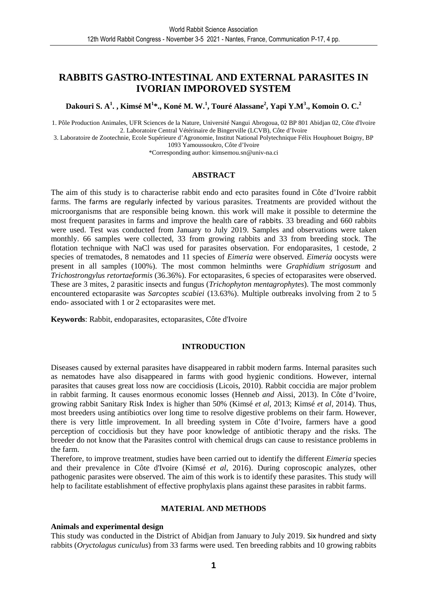### **RABBITS GASTRO-INTESTINAL AND EXTERNAL PARASITES IN IVORIAN IMPOROVED SYSTEM**

**Dakouri S. A<sup>1</sup> . , Kimsé M<sup>1</sup> \*., Koné M. W.<sup>1</sup> , Touré Alassane<sup>2</sup> , Yapi Y.M<sup>3</sup> ., Komoin O. C.<sup>2</sup>**

1. Pôle Production Animales, UFR Sciences de la Nature, Université Nangui Abrogoua, 02 BP 801 Abidjan 02, Côte d'Ivoire 2. Laboratoire Central Vétérinaire de Bingerville (LCVB), Côte d'Ivoire

3. Laboratoire de Zootechnie, Ecole Supérieure d'Agronomie, Institut National Polytechnique Félix Houphouet Boigny, BP 1093 Yamoussoukro, Côte d'Ivoire

\*Corresponding author: kimsemou.sn@univ-na.ci

### **ABSTRACT**

The aim of this study is to characterise rabbit endo and ecto parasites found in Côte d'Ivoire rabbit farms. The farms are regularly infected by various parasites. Treatments are provided without the microorganisms that are responsible being known. this work will make it possible to determine the most frequent parasites in farms and improve the health care of rabbits. 33 breading and 660 rabbits were used. Test was conducted from January to July 2019. Samples and observations were taken monthly. 66 samples were collected, 33 from growing rabbits and 33 from breeding stock. The flotation technique with NaCl was used for parasites observation. For endoparasites, 1 cestode, 2 species of trematodes, 8 nematodes and 11 species of *Eimeria* were observed. *Eimeria* oocysts were present in all samples (100%). The most common helminths were *Graphidium strigosum* and *Trichostrongylus retortaeformis* (36.36%). For ectoparasites, 6 species of ectoparasites were observed. These are 3 mites, 2 parasitic insects and fungus (*Trichophyton mentagrophytes*). The most commonly encountered ectoparasite was *Sarcoptes scabiei* (13.63%). Multiple outbreaks involving from 2 to 5 endo- associated with 1 or 2 ectoparasites were met.

**Keywords**: Rabbit, endoparasites, ectoparasites, Côte d'Ivoire

### **INTRODUCTION**

Diseases caused by external parasites have disappeared in rabbit modern farms. Internal parasites such as nematodes have also disappeared in farms with good hygienic conditions. However, internal parasites that causes great loss now are coccidiosis (Licois, 2010). Rabbit coccidia are major problem in rabbit farming. It causes enormous economic losses (Henneb *and* Aissi, 2013). In Côte d'Ivoire, growing rabbit Sanitary Risk Index is higher than 50% (Kimsé *et al*, 2013; Kimsé *et al,* 2014). Thus, most breeders using antibiotics over long time to resolve digestive problems on their farm. However, there is very little improvement. In all breeding system in Côte d'Ivoire, farmers have a good perception of coccidiosis but they have poor knowledge of antibiotic therapy and the risks. The breeder do not know that the Parasites control with chemical drugs can cause to resistance problems in the farm.

Therefore, to improve treatment, studies have been carried out to identify the different *Eimeria* species and their prevalence in Côte d'Ivoire (Kimsé *et al*, 2016). During coproscopic analyzes, other pathogenic parasites were observed. The aim of this work is to identify these parasites. This study will help to facilitate establishment of effective prophylaxis plans against these parasites in rabbit farms.

### **MATERIAL AND METHODS**

### **Animals and experimental design**

This study was conducted in the District of Abidjan from January to July 2019. Six hundred and sixty rabbits (*Oryctolagus cuniculus*) from 33 farms were used. Ten breeding rabbits and 10 growing rabbits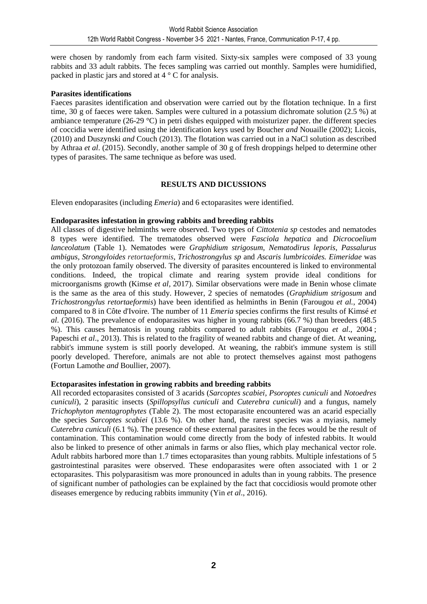were chosen by randomly from each farm visited. Sixty-six samples were composed of 33 young rabbits and 33 adult rabbits. The feces sampling was carried out monthly. Samples were humidified, packed in plastic jars and stored at 4 ° C for analysis.

### **Parasites identifications**

Faeces parasites identification and observation were carried out by the flotation technique. In a first time, 30 g of faeces were taken. Samples were cultured in a potassium dichromate solution (2.5 %) at ambiance temperature (26-29 °C) in petri dishes equipped with moisturizer paper. the different species of coccidia were identified using the identification keys used by Boucher *and* Nouaille (2002); Licois, (2010) and Duszynski *and* Couch (2013). The flotation was carried out in a NaCl solution as described by Athraa *et al*. (2015). Secondly, another sample of 30 g of fresh droppings helped to determine other types of parasites. The same technique as before was used.

### **RESULTS AND DICUSSIONS**

Eleven endoparasites (including *Emeria*) and 6 ectoparasites were identified.

### **Endoparasites infestation in growing rabbits and breeding rabbits**

All classes of digestive helminths were observed. Two types of *Cittotenia sp* cestodes and nematodes 8 types were identified. The trematodes observed were *Fasciola hepatica* and *Dicrocoelium lanceolatum* (Table 1). Nematodes were *Graphidium strigosum, Nematodirus leporis, Passalurus ambigus, Strongyloides retortaeformis, Trichostrongylus sp* and *Ascaris lumbricoides. Eimeridae* was the only protozoan family observed. The diversity of parasites encountered is linked to environmental conditions. Indeed, the tropical climate and rearing system provide ideal conditions for microorganisms growth (Kimse *et al,* 2017). Similar observations were made in Benin whose climate is the same as the area of this study. However, 2 species of nematodes (*Graphidium strigosum* and *Trichostrongylus retortaeformis*) have been identified as helminths in Benin (Farougou *et al.*, 2004) compared to 8 in Côte d'Ivoire. The number of 11 *Emeria* species confirms the first results of Kimsé *et al*. (2016). The prevalence of endoparasites was higher in young rabbits (66.7 %) than breeders (48.5 %). This causes hematosis in young rabbits compared to adult rabbits (Farougou *et al*., 2004 ; Papeschi *et al*., 2013). This is related to the fragility of weaned rabbits and change of diet. At weaning, rabbit's immune system is still poorly developed. At weaning, the rabbit's immune system is still poorly developed. Therefore, animals are not able to protect themselves against most pathogens (Fortun Lamothe *and* Boullier, 2007).

### **Ectoparasites infestation in growing rabbits and breeding rabbits**

All recorded ectoparasites consisted of 3 acarids (*Sarcoptes scabiei, Psoroptes cuniculi* and *Notoedres cuniculi*), 2 parasitic insects (*Spillopsyllus cuniculi* and *Cuterebra cuniculi*) and a fungus, namely *Trichophyton mentagrophytes* (Table 2). The most ectoparasite encountered was an acarid especially the species *Sarcoptes scabiei* (13.6 %). On other hand, the rarest species was a myiasis, namely *Cuterebra cuniculi* (6.1 %). The presence of these external parasites in the feces would be the result of contamination. This contamination would come directly from the body of infested rabbits. It would also be linked to presence of other animals in farms or also flies, which play mechanical vector role. Adult rabbits harbored more than 1.7 times ectoparasites than young rabbits. Multiple infestations of 5 gastrointestinal parasites were observed. These endoparasites were often associated with 1 or 2 ectoparasites. This polyparasitism was more pronounced in adults than in young rabbits. The presence of significant number of pathologies can be explained by the fact that coccidiosis would promote other diseases emergence by reducing rabbits immunity (Yin *et al*., 2016).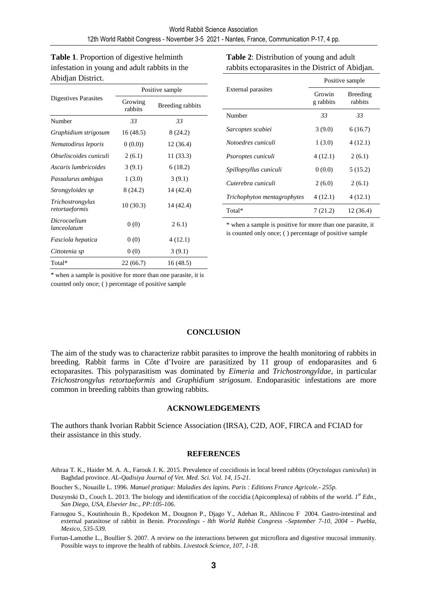**Table 1**. Proportion of digestive helminth infestation in young and adult rabbits in the Abidjan District.

|                                    | Positive sample    |                  |  |
|------------------------------------|--------------------|------------------|--|
| Digestives Parasites               | Growing<br>rabbits | Breeding rabbits |  |
| Number                             | 33                 | 33               |  |
| Graphidium strigosum               | 16 (48.5)          | 8 (24.2)         |  |
| Nematodirus leporis                | 0(0.0)             | 12 (36.4)        |  |
| Obseliscoides cuniculi             | 2(6.1)             | 11 (33.3)        |  |
| Ascaris lumbricoides               | 3(9.1)             | 6(18.2)          |  |
| Passalurus ambigus                 | 1(3.0)             | 3(9.1)           |  |
| Strongyloides sp                   | 8 (24.2)           | 14 (42.4)        |  |
| Trichostrongylus<br>retortaeformis | 10(30.3)           | 14 (42.4)        |  |
| Dicrocoelium<br>lanceolatum        | 0(0)               | 26.1)            |  |
| Fasciola hepatica                  | 0(0)               | 4(12.1)          |  |
| Cittotenia sp                      | 0(0)               | 3(9.1)           |  |
| Total*                             | 22 (66.7)          | 16 (48.5)        |  |

**Table 2**: Distribution of young and adult rabbits ectoparasites in the District of Abidjan.

|                             | Positive sample     |                     |  |  |
|-----------------------------|---------------------|---------------------|--|--|
| External parasites          | Growin<br>g rabbits | Breeding<br>rabbits |  |  |
| Number                      | 33                  | 33                  |  |  |
| Sarcoptes scabiei           | 3(9.0)              | 6(16.7)             |  |  |
| Notoedres cuniculi          | 1(3.0)              | 4(12.1)             |  |  |
| <i>Psoroptes cuniculi</i>   | 4(12.1)             | 2(6.1)              |  |  |
| Spillopsyllus cuniculi      | 0(0.0)              | 5(15.2)             |  |  |
| Cuterebra cuniculi          | 2(6.0)              | 2(6.1)              |  |  |
| Trichophyton mentagrophytes | 4(12.1)             | 4(12.1)             |  |  |
| Total*                      | 7(21.2)             | 12 (36.4)           |  |  |

\* when a sample is positive for more than one parasite, it is counted only once; ( ) percentage of positive sample

\* when a sample is positive for more than one parasite, it is counted only once; ( ) percentage of positive sample

### **CONCLUSION**

The aim of the study was to characterize rabbit parasites to improve the health monitoring of rabbits in breeding. Rabbit farms in Côte d'Ivoire are parasitized by 11 group of endoparasites and 6 ectoparasites. This polyparasitism was dominated by *Eimeria* and *Trichostrongyldae*, in particular *Trichostrongylus retortaeformis* and *Graphidium strigosum*. Endoparasitic infestations are more common in breeding rabbits than growing rabbits.

### **ACKNOWLEDGEMENTS**

The authors thank Ivorian Rabbit Science Association (IRSA), C2D, AOF, FIRCA and FCIAD for their assistance in this study.

### **REFERENCES**

Athraa T. K., Haider M. A. A., Farouk J. K. 2015. Prevalence of coccidiosis in local breed rabbits (*Oryctolagus cuniculus*) in Baghdad province. *AL-Qadisiya Journal of Vet. Med. Sci. Vol. 14, 15-21.*

Boucher S., Nouaille L. 1996. *Manuel pratique: Maladies des lapins. Paris : Editions France Agricole.- 255p.* 

- Duszynski D., Couch L. 2013. The biology and identification of the coccidia (Apicomplexa) of rabbits of the world. *1 st Edn., San Diego, USA, Elsevier Inc., PP:105-106*.
- Farougou S., Koutinhouin B., Kpodekon M., Dougnon P., Djago Y., Adehan R., Ahlincou F 2004. Gastro-intestinal and external parasitose of rabbit in Benin. *Proceedings - 8th World Rabbit Congress –September 7-10, 2004 – Puebla, Mexico, 535-539.*

Fortun-Lamothe L., Boullier S. 2007. A review on the interactions between gut microflora and digestive mucosal immunity. Possible ways to improve the health of rabbits. *Livestock Science*, *107, 1-18.*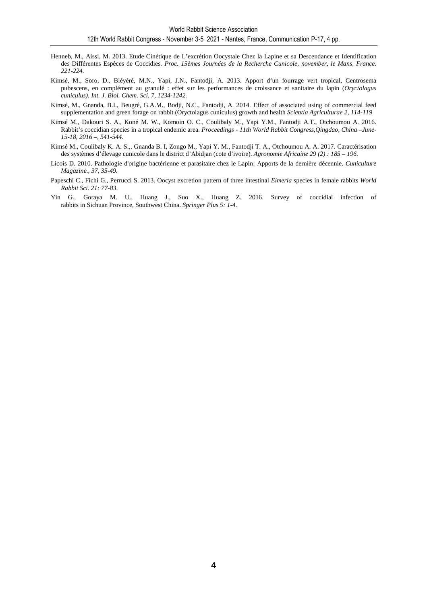- Henneb, M., Aissi, M. 2013. Etude Cinétique de L'excrétion Oocystale Chez la Lapine et sa Descendance et Identification des Différentes Espèces de Coccidies. *Proc. 15èmes Journées de la Recherche Cunicole, november, le Mans, France. 221-224.*
- Kimsé, M., Soro, D., Bléyéré, M.N., Yapi, J.N., Fantodji, A. 2013. Apport d'un fourrage vert tropical, Centrosema pubescens, en complément au granulé : effet sur les performances de croissance et sanitaire du lapin (*Oryctolagus cuniculus). Int. J. Biol. Chem. Sci. 7, 1234-1242.*
- Kimsé, M., Gnanda, B.I., Beugré, G.A.M., Bodji, N.C., Fantodji, A. 2014. Effect of associated using of commercial feed supplementation and green forage on rabbit (Oryctolagus cuniculus) growth and health *Scientia Agriculturae 2, 114-119*
- Kimsé M., Dakouri S. A., Koné M. W., Komoin O. C., Coulibaly M., Yapi Y.M., Fantodji A.T., Otchoumou A. 2016. Rabbit's coccidian species in a tropical endemic area. *Proceedings - 11th World Rabbit Congress,Qingdao, China –June-15-18, 2016 –, 541-544.*
- Kimsé M., Coulibaly K. A. S.,. Gnanda B. I, Zongo M., Yapi Y. M., Fantodji T. A., Otchoumou A. A. 2017. Caractérisation des systèmes d'élevage cunicole dans le district d'Abidjan (cote d'ivoire). *Agronomie Africaine 29 (2) : 185 – 196.*
- Licois D. 2010. Pathologie d'origine bactérienne et parasitaire chez le Lapin: Apports de la dernière décennie. *Cuniculture Magazine., 37, 35-49.*
- Papeschi C., Fichi G., Perrucci S. 2013. Oocyst excretion pattern of three intestinal *Eimeria* species in female rabbits *World Rabbit Sci. 21: 77-83*.
- Yin G., Goraya M. U., Huang J., Suo X., Huang Z. 2016. Survey of coccidial infection of rabbits in Sichuan Province, Southwest China. *Springer Plus 5: 1-4*.